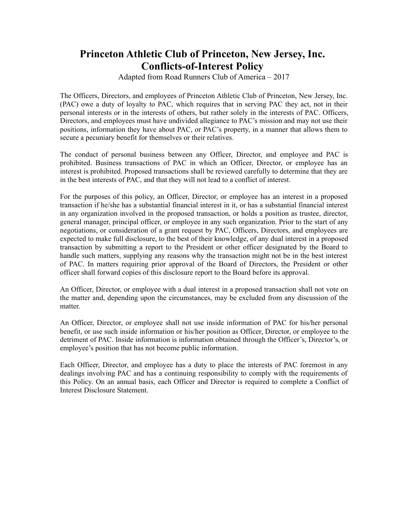## **Princeton Athletic Club of Princeton, New Jersey, Inc. Conflicts-of-Interest Policy**

Adapted from Road Runners Club of America – 2017

The Officers, Directors, and employees of Princeton Athletic Club of Princeton, New Jersey, Inc. (PAC) owe a duty of loyalty to PAC, which requires that in serving PAC they act, not in their personal interests or in the interests of others, but rather solely in the interests of PAC. Officers, Directors, and employees must have undivided allegiance to PAC's mission and may not use their positions, information they have about PAC, or PAC's property, in a manner that allows them to secure a pecuniary benefit for themselves or their relatives.

The conduct of personal business between any Officer, Director, and employee and PAC is prohibited. Business transactions of PAC in which an Officer, Director, or employee has an interest is prohibited. Proposed transactions shall be reviewed carefully to determine that they are in the best interests of PAC, and that they will not lead to a conflict of interest.

For the purposes of this policy, an Officer, Director, or employee has an interest in a proposed transaction if he/she has a substantial financial interest in it, or has a substantial financial interest in any organization involved in the proposed transaction, or holds a position as trustee, director, general manager, principal officer, or employee in any such organization. Prior to the start of any negotiations, or consideration of a grant request by PAC, Officers, Directors, and employees are expected to make full disclosure, to the best of their knowledge, of any dual interest in a proposed transaction by submitting a report to the President or other officer designated by the Board to handle such matters, supplying any reasons why the transaction might not be in the best interest of PAC. In matters requiring prior approval of the Board of Directors, the President or other officer shall forward copies of this disclosure report to the Board before its approval.

An Officer, Director, or employee with a dual interest in a proposed transaction shall not vote on the matter and, depending upon the circumstances, may be excluded from any discussion of the matter.

An Officer, Director, or employee shall not use inside information of PAC for his/her personal benefit, or use such inside information or his/her position as Officer, Director, or employee to the detriment of PAC. Inside information is information obtained through the Officer's, Director's, or employee's position that has not become public information.

Each Officer, Director, and employee has a duty to place the interests of PAC foremost in any dealings involving PAC and has a continuing responsibility to comply with the requirements of this Policy. On an annual basis, each Officer and Director is required to complete a Conflict of Interest Disclosure Statement.